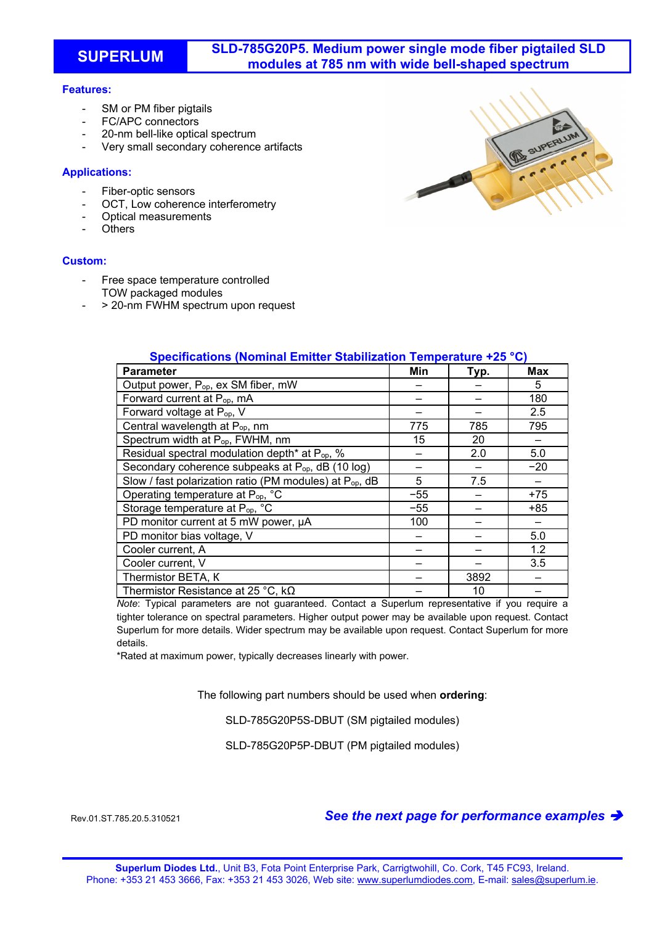**SUPERLUM SLD-785G20P5. Medium power single mode fiber pigtailed SLD modules at 785 nm with wide bell-shaped spectrum** 

# **Features:**

- SM or PM fiber pigtails
- FC/APC connectors
- 20-nm bell-like optical spectrum
- Very small secondary coherence artifacts

# **Applications:**

- Fiber-optic sensors
- OCT. Low coherence interferometry
- Optical measurements
- **Others**

# **Custom:**

- Free space temperature controlled TOW packaged modules
- > 20-nm FWHM spectrum upon request



| <b>Parameter</b>                                                    | Min   | Typ. | <b>Max</b> |
|---------------------------------------------------------------------|-------|------|------------|
| Output power, P <sub>op</sub> , ex SM fiber, mW                     |       |      | 5          |
| Forward current at P <sub>op</sub> , mA                             |       |      | 180        |
| Forward voltage at P <sub>op</sub> , V                              |       |      | 2.5        |
| Central wavelength at P <sub>op</sub> , nm                          | 775   | 785  | 795        |
| Spectrum width at P <sub>op</sub> , FWHM, nm                        | 15    | 20   |            |
| Residual spectral modulation depth* at P <sub>op</sub> , %          |       | 2.0  | 5.0        |
| Secondary coherence subpeaks at P <sub>op</sub> , dB (10 log)       |       |      | $-20$      |
| Slow / fast polarization ratio (PM modules) at P <sub>op</sub> , dB | 5     | 7.5  |            |
| Operating temperature at P <sub>op</sub> , °C                       | $-55$ |      | $+75$      |
| Storage temperature at P <sub>op, °</sub> C                         | $-55$ |      | $+85$      |
| PD monitor current at 5 mW power, µA                                | 100   |      |            |
| PD monitor bias voltage, V                                          |       |      | 5.0        |
| Cooler current, A                                                   |       |      | 1.2        |
| Cooler current, V                                                   |       |      | 3.5        |
| Thermistor BETA, K                                                  |       | 3892 |            |
| Thermistor Resistance at 25 °C, $k\Omega$                           |       | 10   |            |

**Specifications (Nominal Emitter Stabilization Temperature +25 °C)** 

*Note*: Typical parameters are not guaranteed. Contact a Superlum representative if you require a tighter tolerance on spectral parameters. Higher output power may be available upon request. Contact Superlum for more details. Wider spectrum may be available upon request. Contact Superlum for more details.

\*Rated at maximum power, typically decreases linearly with power.

The following part numbers should be used when **ordering**:

SLD-785G20P5S-DBUT (SM pigtailed modules)

SLD-785G20P5P-DBUT (PM pigtailed modules)

#### Rev.01.ST.785.20.5.310521 *See the next page for performance examples*